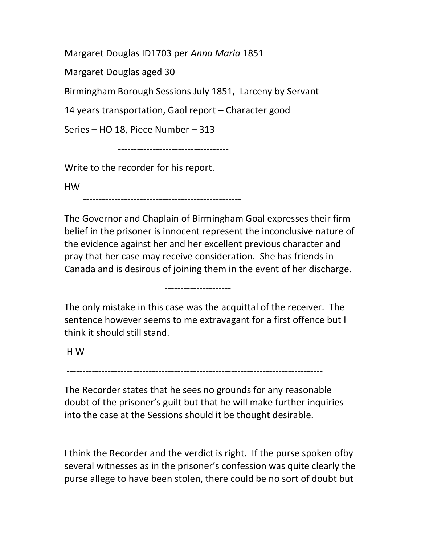Margaret Douglas ID1703 per Anna Maria 1851

Margaret Douglas aged 30

Birmingham Borough Sessions July 1851, Larceny by Servant

14 years transportation, Gaol report – Character good

Series – HO 18, Piece Number – 313

-----------------------------------

Write to the recorder for his report.

HW

--------------------------------------------------

The Governor and Chaplain of Birmingham Goal expresses their firm belief in the prisoner is innocent represent the inconclusive nature of the evidence against her and her excellent previous character and pray that her case may receive consideration. She has friends in Canada and is desirous of joining them in the event of her discharge.

The only mistake in this case was the acquittal of the receiver. The sentence however seems to me extravagant for a first offence but I think it should still stand.

---------------------

H W

---------------------------------------------------------------------------------

The Recorder states that he sees no grounds for any reasonable doubt of the prisoner's guilt but that he will make further inquiries into the case at the Sessions should it be thought desirable.

----------------------------

I think the Recorder and the verdict is right. If the purse spoken ofby several witnesses as in the prisoner's confession was quite clearly the purse allege to have been stolen, there could be no sort of doubt but